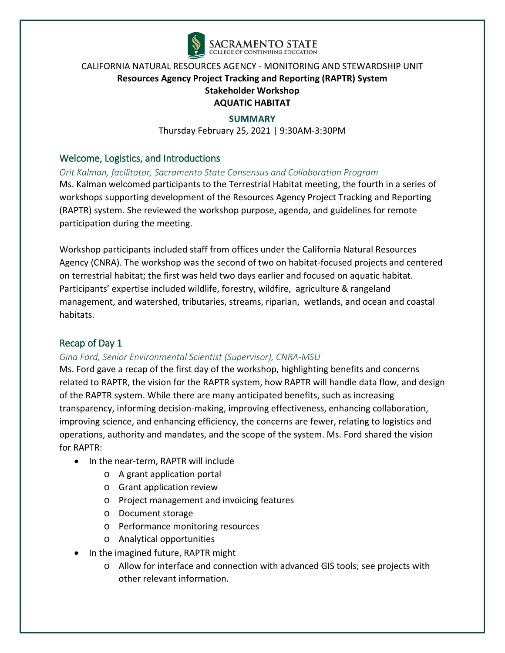

#### **SUMMARY**

Thursday February 25, 2021 | 9:30AM-3:30PM

## Welcome, Logistics, and Introductions

*Orit Kalman, facilitator, Sacramento State Consensus and Collaboration Program*

Ms. Kalman welcomed participants to the Terrestrial Habitat meeting, the fourth in a series of workshops supporting development of the Resources Agency Project Tracking and Reporting (RAPTR) system. She reviewed the workshop purpose, agenda, and guidelines for remote participation during the meeting.

Workshop participants included staff from offices under the California Natural Resources Agency (CNRA). The workshop was the second of two on habitat-focused projects and centered on terrestrial habitat; the first was held two days earlier and focused on aquatic habitat. Participants' expertise included wildlife, forestry, wildfire, agriculture & rangeland management, and watershed, tributaries, streams, riparian, wetlands, and ocean and coastal habitats.

## Recap of Day 1

#### *Gina Ford, Senior Environmental Scientist (Supervisor), CNRA-MSU*

Ms. Ford gave a recap of the first day of the workshop, highlighting benefits and concerns related to RAPTR, the vision for the RAPTR system, how RAPTR will handle data flow, and design of the RAPTR system. While there are many anticipated benefits, such as increasing transparency, informing decision-making, improving effectiveness, enhancing collaboration, improving science, and enhancing efficiency, the concerns are fewer, relating to logistics and operations, authority and mandates, and the scope of the system. Ms. Ford shared the vision for RAPTR:

- In the near-term, RAPTR will include
	- o A grant application portal
	- o Grant application review
	- o Project management and invoicing features
	- o Document storage
	- o Performance monitoring resources
	- o Analytical opportunities
- In the imagined future, RAPTR might
	- o Allow for interface and connection with advanced GIS tools; see projects with other relevant information.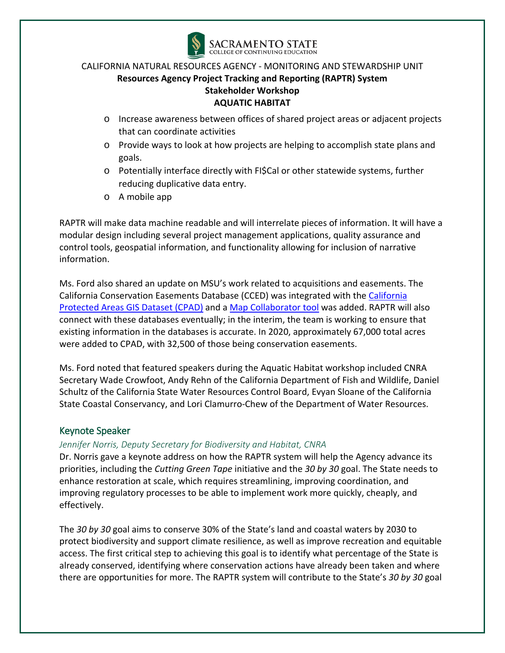

- o Increase awareness between offices of shared project areas or adjacent projects that can coordinate activities
- o Provide ways to look at how projects are helping to accomplish state plans and goals.
- o Potentially interface directly with FI\$Cal or other statewide systems, further reducing duplicative data entry.
- o A mobile app

RAPTR will make data machine readable and will interrelate pieces of information. It will have a modular design including several project management applications, quality assurance and control tools, geospatial information, and functionality allowing for inclusion of narrative information.

Ms. Ford also shared an update on MSU's work related to acquisitions and easements. The California Conservation Easements Database (CCED) was integrated with the [California](https://www.arcgis.com/home/webmap/viewer.html?webmap=df37a48a7b6f4a00862f2fd0a1d8aaff)  [Protected Areas GIS Dataset \(CPAD\)](https://www.arcgis.com/home/webmap/viewer.html?webmap=df37a48a7b6f4a00862f2fd0a1d8aaff) and a [Map Collaborator tool](http://www.mapcollaborator.org/cpad/?base=map&y=38.16857&x=-122.13844&z=10&layers=mapcollab_cpadng_cpad_access%2Ccced&opacs=50%2C100) was added. RAPTR will also connect with these databases eventually; in the interim, the team is working to ensure that existing information in the databases is accurate. In 2020, approximately 67,000 total acres were added to CPAD, with 32,500 of those being conservation easements.

Ms. Ford noted that featured speakers during the Aquatic Habitat workshop included CNRA Secretary Wade Crowfoot, Andy Rehn of the California Department of Fish and Wildlife, Daniel Schultz of the California State Water Resources Control Board, Evyan Sloane of the California State Coastal Conservancy, and Lori Clamurro-Chew of the Department of Water Resources.

## Keynote Speaker

#### *Jennifer Norris, Deputy Secretary for Biodiversity and Habitat, CNRA*

Dr. Norris gave a keynote address on how the RAPTR system will help the Agency advance its priorities, including the *Cutting Green Tape* initiative and the *30 by 30* goal. The State needs to enhance restoration at scale, which requires streamlining, improving coordination, and improving regulatory processes to be able to implement work more quickly, cheaply, and effectively.

The *30 by 30* goal aims to conserve 30% of the State's land and coastal waters by 2030 to protect biodiversity and support climate resilience, as well as improve recreation and equitable access. The first critical step to achieving this goal is to identify what percentage of the State is already conserved, identifying where conservation actions have already been taken and where there are opportunities for more. The RAPTR system will contribute to the State's *30 by 30* goal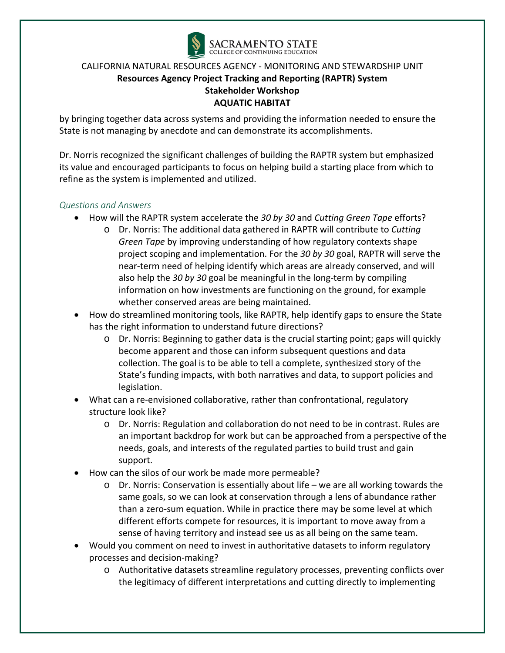

by bringing together data across systems and providing the information needed to ensure the State is not managing by anecdote and can demonstrate its accomplishments.

Dr. Norris recognized the significant challenges of building the RAPTR system but emphasized its value and encouraged participants to focus on helping build a starting place from which to refine as the system is implemented and utilized.

#### *Questions and Answers*

- How will the RAPTR system accelerate the *30 by 30* and *Cutting Green Tape* efforts?
	- o Dr. Norris: The additional data gathered in RAPTR will contribute to *Cutting Green Tape* by improving understanding of how regulatory contexts shape project scoping and implementation. For the *30 by 30* goal, RAPTR will serve the near-term need of helping identify which areas are already conserved, and will also help the *30 by 30* goal be meaningful in the long-term by compiling information on how investments are functioning on the ground, for example whether conserved areas are being maintained.
- How do streamlined monitoring tools, like RAPTR, help identify gaps to ensure the State has the right information to understand future directions?
	- o Dr. Norris: Beginning to gather data is the crucial starting point; gaps will quickly become apparent and those can inform subsequent questions and data collection. The goal is to be able to tell a complete, synthesized story of the State's funding impacts, with both narratives and data, to support policies and legislation.
- What can a re-envisioned collaborative, rather than confrontational, regulatory structure look like?
	- o Dr. Norris: Regulation and collaboration do not need to be in contrast. Rules are an important backdrop for work but can be approached from a perspective of the needs, goals, and interests of the regulated parties to build trust and gain support.
- How can the silos of our work be made more permeable?
	- o Dr. Norris: Conservation is essentially about life we are all working towards the same goals, so we can look at conservation through a lens of abundance rather than a zero-sum equation. While in practice there may be some level at which different efforts compete for resources, it is important to move away from a sense of having territory and instead see us as all being on the same team.
- Would you comment on need to invest in authoritative datasets to inform regulatory processes and decision-making?
	- o Authoritative datasets streamline regulatory processes, preventing conflicts over the legitimacy of different interpretations and cutting directly to implementing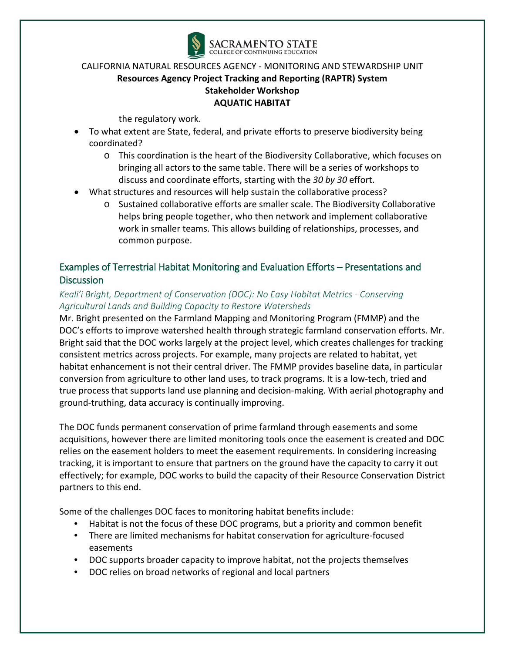

the regulatory work.

- To what extent are State, federal, and private efforts to preserve biodiversity being coordinated?
	- o This coordination is the heart of the Biodiversity Collaborative, which focuses on bringing all actors to the same table. There will be a series of workshops to discuss and coordinate efforts, starting with the *30 by 30* effort.
- What structures and resources will help sustain the collaborative process?
	- o Sustained collaborative efforts are smaller scale. The Biodiversity Collaborative helps bring people together, who then network and implement collaborative work in smaller teams. This allows building of relationships, processes, and common purpose.

# Examples of Terrestrial Habitat Monitoring and Evaluation Efforts – Presentations and **Discussion**

## *Keali'i Bright, Department of Conservation (DOC): No Easy Habitat Metrics - Conserving Agricultural Lands and Building Capacity to Restore Watersheds*

Mr. Bright presented on the Farmland Mapping and Monitoring Program (FMMP) and the DOC's efforts to improve watershed health through strategic farmland conservation efforts. Mr. Bright said that the DOC works largely at the project level, which creates challenges for tracking consistent metrics across projects. For example, many projects are related to habitat, yet habitat enhancement is not their central driver. The FMMP provides baseline data, in particular conversion from agriculture to other land uses, to track programs. It is a low-tech, tried and true process that supports land use planning and decision-making. With aerial photography and ground-truthing, data accuracy is continually improving.

The DOC funds permanent conservation of prime farmland through easements and some acquisitions, however there are limited monitoring tools once the easement is created and DOC relies on the easement holders to meet the easement requirements. In considering increasing tracking, it is important to ensure that partners on the ground have the capacity to carry it out effectively; for example, DOC works to build the capacity of their Resource Conservation District partners to this end.

Some of the challenges DOC faces to monitoring habitat benefits include:

- Habitat is not the focus of these DOC programs, but a priority and common benefit
- There are limited mechanisms for habitat conservation for agriculture-focused easements
- DOC supports broader capacity to improve habitat, not the projects themselves
- DOC relies on broad networks of regional and local partners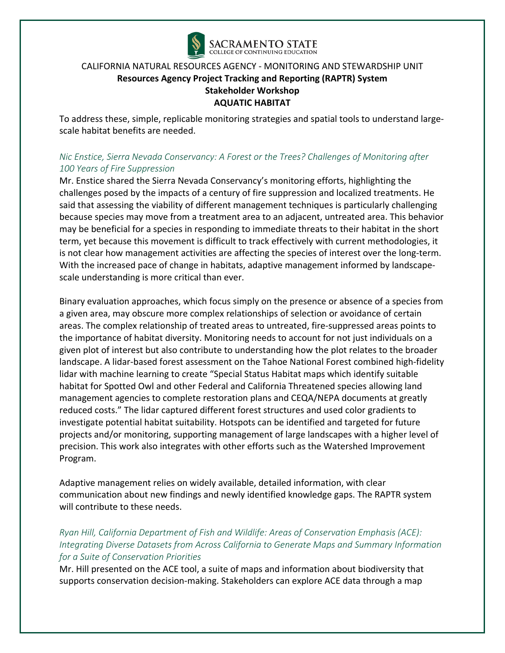

To address these, simple, replicable monitoring strategies and spatial tools to understand largescale habitat benefits are needed.

## *Nic Enstice, Sierra Nevada Conservancy: A Forest or the Trees? Challenges of Monitoring after 100 Years of Fire Suppression*

Mr. Enstice shared the Sierra Nevada Conservancy's monitoring efforts, highlighting the challenges posed by the impacts of a century of fire suppression and localized treatments. He said that assessing the viability of different management techniques is particularly challenging because species may move from a treatment area to an adjacent, untreated area. This behavior may be beneficial for a species in responding to immediate threats to their habitat in the short term, yet because this movement is difficult to track effectively with current methodologies, it is not clear how management activities are affecting the species of interest over the long-term. With the increased pace of change in habitats, adaptive management informed by landscapescale understanding is more critical than ever.

Binary evaluation approaches, which focus simply on the presence or absence of a species from a given area, may obscure more complex relationships of selection or avoidance of certain areas. The complex relationship of treated areas to untreated, fire-suppressed areas points to the importance of habitat diversity. Monitoring needs to account for not just individuals on a given plot of interest but also contribute to understanding how the plot relates to the broader landscape. A lidar-based forest assessment on the Tahoe National Forest combined high-fidelity lidar with machine learning to create "Special Status Habitat maps which identify suitable habitat for Spotted Owl and other Federal and California Threatened species allowing land management agencies to complete restoration plans and CEQA/NEPA documents at greatly reduced costs." The lidar captured different forest structures and used color gradients to investigate potential habitat suitability. Hotspots can be identified and targeted for future projects and/or monitoring, supporting management of large landscapes with a higher level of precision. This work also integrates with other efforts such as the Watershed Improvement Program.

Adaptive management relies on widely available, detailed information, with clear communication about new findings and newly identified knowledge gaps. The RAPTR system will contribute to these needs.

## *Ryan Hill, California Department of Fish and Wildlife: Areas of Conservation Emphasis (ACE): Integrating Diverse Datasets from Across California to Generate Maps and Summary Information for a Suite of Conservation Priorities*

Mr. Hill presented on the ACE tool, a suite of maps and information about biodiversity that supports conservation decision-making. Stakeholders can explore ACE data through a map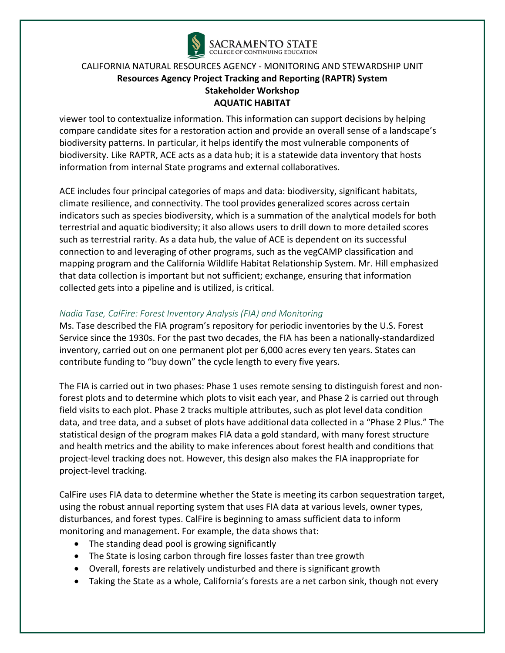

viewer tool to contextualize information. This information can support decisions by helping compare candidate sites for a restoration action and provide an overall sense of a landscape's biodiversity patterns. In particular, it helps identify the most vulnerable components of biodiversity. Like RAPTR, ACE acts as a data hub; it is a statewide data inventory that hosts information from internal State programs and external collaboratives.

ACE includes four principal categories of maps and data: biodiversity, significant habitats, climate resilience, and connectivity. The tool provides generalized scores across certain indicators such as species biodiversity, which is a summation of the analytical models for both terrestrial and aquatic biodiversity; it also allows users to drill down to more detailed scores such as terrestrial rarity. As a data hub, the value of ACE is dependent on its successful connection to and leveraging of other programs, such as the vegCAMP classification and mapping program and the California Wildlife Habitat Relationship System. Mr. Hill emphasized that data collection is important but not sufficient; exchange, ensuring that information collected gets into a pipeline and is utilized, is critical.

#### *Nadia Tase, CalFire: Forest Inventory Analysis (FIA) and Monitoring*

Ms. Tase described the FIA program's repository for periodic inventories by the U.S. Forest Service since the 1930s. For the past two decades, the FIA has been a nationally-standardized inventory, carried out on one permanent plot per 6,000 acres every ten years. States can contribute funding to "buy down" the cycle length to every five years.

The FIA is carried out in two phases: Phase 1 uses remote sensing to distinguish forest and nonforest plots and to determine which plots to visit each year, and Phase 2 is carried out through field visits to each plot. Phase 2 tracks multiple attributes, such as plot level data condition data, and tree data, and a subset of plots have additional data collected in a "Phase 2 Plus." The statistical design of the program makes FIA data a gold standard, with many forest structure and health metrics and the ability to make inferences about forest health and conditions that project-level tracking does not. However, this design also makes the FIA inappropriate for project-level tracking.

CalFire uses FIA data to determine whether the State is meeting its carbon sequestration target, using the robust annual reporting system that uses FIA data at various levels, owner types, disturbances, and forest types. CalFire is beginning to amass sufficient data to inform monitoring and management. For example, the data shows that:

- The standing dead pool is growing significantly
- The State is losing carbon through fire losses faster than tree growth
- Overall, forests are relatively undisturbed and there is significant growth
- Taking the State as a whole, California's forests are a net carbon sink, though not every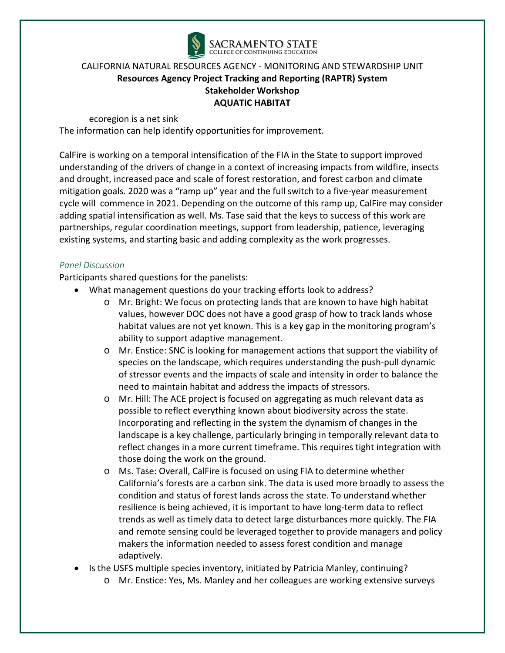

ecoregion is a net sink

The information can help identify opportunities for improvement.

CalFire is working on a temporal intensification of the FIA in the State to support improved understanding of the drivers of change in a context of increasing impacts from wildfire, insects and drought, increased pace and scale of forest restoration, and forest carbon and climate mitigation goals. 2020 was a "ramp up" year and the full switch to a five-year measurement cycle will commence in 2021. Depending on the outcome of this ramp up, CalFire may consider adding spatial intensification as well. Ms. Tase said that the keys to success of this work are partnerships, regular coordination meetings, support from leadership, patience, leveraging existing systems, and starting basic and adding complexity as the work progresses.

#### *Panel Discussion*

Participants shared questions for the panelists:

- What management questions do your tracking efforts look to address?
	- o Mr. Bright: We focus on protecting lands that are known to have high habitat values, however DOC does not have a good grasp of how to track lands whose habitat values are not yet known. This is a key gap in the monitoring program's ability to support adaptive management.
	- o Mr. Enstice: SNC is looking for management actions that support the viability of species on the landscape, which requires understanding the push-pull dynamic of stressor events and the impacts of scale and intensity in order to balance the need to maintain habitat and address the impacts of stressors.
	- o Mr. Hill: The ACE project is focused on aggregating as much relevant data as possible to reflect everything known about biodiversity across the state. Incorporating and reflecting in the system the dynamism of changes in the landscape is a key challenge, particularly bringing in temporally relevant data to reflect changes in a more current timeframe. This requires tight integration with those doing the work on the ground.
	- o Ms. Tase: Overall, CalFire is focused on using FIA to determine whether California's forests are a carbon sink. The data is used more broadly to assess the condition and status of forest lands across the state. To understand whether resilience is being achieved, it is important to have long-term data to reflect trends as well as timely data to detect large disturbances more quickly. The FIA and remote sensing could be leveraged together to provide managers and policy makers the information needed to assess forest condition and manage adaptively.
- Is the USFS multiple species inventory, initiated by Patricia Manley, continuing?
	- o Mr. Enstice: Yes, Ms. Manley and her colleagues are working extensive surveys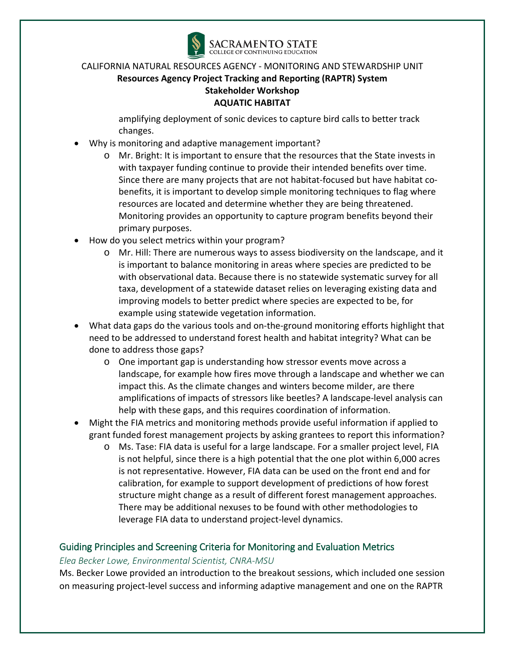

amplifying deployment of sonic devices to capture bird calls to better track changes.

- Why is monitoring and adaptive management important?
	- o Mr. Bright: It is important to ensure that the resources that the State invests in with taxpayer funding continue to provide their intended benefits over time. Since there are many projects that are not habitat-focused but have habitat cobenefits, it is important to develop simple monitoring techniques to flag where resources are located and determine whether they are being threatened. Monitoring provides an opportunity to capture program benefits beyond their primary purposes.
- How do you select metrics within your program?
	- o Mr. Hill: There are numerous ways to assess biodiversity on the landscape, and it is important to balance monitoring in areas where species are predicted to be with observational data. Because there is no statewide systematic survey for all taxa, development of a statewide dataset relies on leveraging existing data and improving models to better predict where species are expected to be, for example using statewide vegetation information.
- What data gaps do the various tools and on-the-ground monitoring efforts highlight that need to be addressed to understand forest health and habitat integrity? What can be done to address those gaps?
	- o One important gap is understanding how stressor events move across a landscape, for example how fires move through a landscape and whether we can impact this. As the climate changes and winters become milder, are there amplifications of impacts of stressors like beetles? A landscape-level analysis can help with these gaps, and this requires coordination of information.
- Might the FIA metrics and monitoring methods provide useful information if applied to grant funded forest management projects by asking grantees to report this information?
	- o Ms. Tase: FIA data is useful for a large landscape. For a smaller project level, FIA is not helpful, since there is a high potential that the one plot within 6,000 acres is not representative. However, FIA data can be used on the front end and for calibration, for example to support development of predictions of how forest structure might change as a result of different forest management approaches. There may be additional nexuses to be found with other methodologies to leverage FIA data to understand project-level dynamics.

## Guiding Principles and Screening Criteria for Monitoring and Evaluation Metrics

#### *Elea Becker Lowe, Environmental Scientist, CNRA-MSU*

Ms. Becker Lowe provided an introduction to the breakout sessions, which included one session on measuring project-level success and informing adaptive management and one on the RAPTR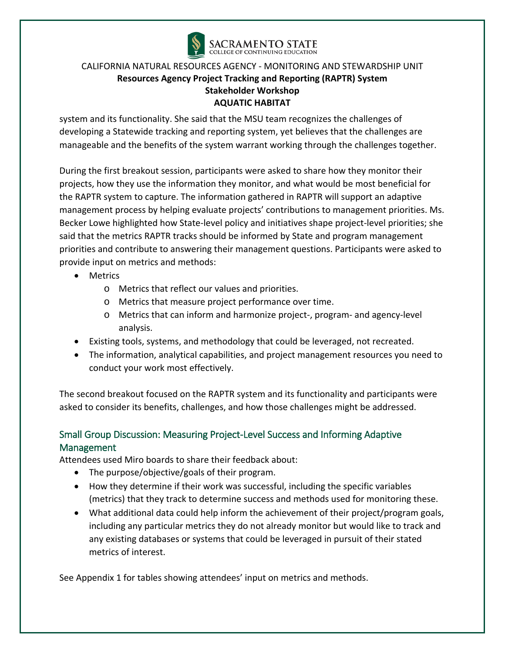

system and its functionality. She said that the MSU team recognizes the challenges of developing a Statewide tracking and reporting system, yet believes that the challenges are manageable and the benefits of the system warrant working through the challenges together.

During the first breakout session, participants were asked to share how they monitor their projects, how they use the information they monitor, and what would be most beneficial for the RAPTR system to capture. The information gathered in RAPTR will support an adaptive management process by helping evaluate projects' contributions to management priorities. Ms. Becker Lowe highlighted how State-level policy and initiatives shape project-level priorities; she said that the metrics RAPTR tracks should be informed by State and program management priorities and contribute to answering their management questions. Participants were asked to provide input on metrics and methods:

- Metrics
	- o Metrics that reflect our values and priorities.
	- o Metrics that measure project performance over time.
	- o Metrics that can inform and harmonize project-, program- and agency-level analysis.
- Existing tools, systems, and methodology that could be leveraged, not recreated.
- The information, analytical capabilities, and project management resources you need to conduct your work most effectively.

The second breakout focused on the RAPTR system and its functionality and participants were asked to consider its benefits, challenges, and how those challenges might be addressed.

# Small Group Discussion: Measuring Project-Level Success and Informing Adaptive Management

Attendees used Miro boards to share their feedback about:

- The purpose/objective/goals of their program.
- How they determine if their work was successful, including the specific variables (metrics) that they track to determine success and methods used for monitoring these.
- What additional data could help inform the achievement of their project/program goals, including any particular metrics they do not already monitor but would like to track and any existing databases or systems that could be leveraged in pursuit of their stated metrics of interest.

See Appendix 1 for tables showing attendees' input on metrics and methods.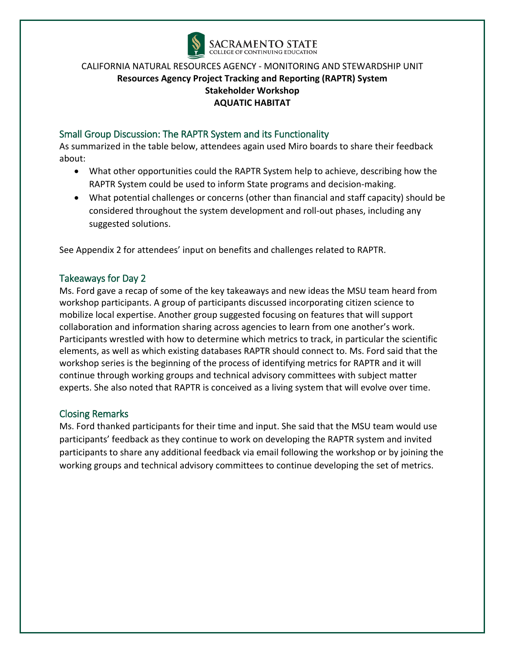

## Small Group Discussion: The RAPTR System and its Functionality

As summarized in the table below, attendees again used Miro boards to share their feedback about:

- What other opportunities could the RAPTR System help to achieve, describing how the RAPTR System could be used to inform State programs and decision-making.
- What potential challenges or concerns (other than financial and staff capacity) should be considered throughout the system development and roll-out phases, including any suggested solutions.

See Appendix 2 for attendees' input on benefits and challenges related to RAPTR.

#### Takeaways for Day 2

Ms. Ford gave a recap of some of the key takeaways and new ideas the MSU team heard from workshop participants. A group of participants discussed incorporating citizen science to mobilize local expertise. Another group suggested focusing on features that will support collaboration and information sharing across agencies to learn from one another's work. Participants wrestled with how to determine which metrics to track, in particular the scientific elements, as well as which existing databases RAPTR should connect to. Ms. Ford said that the workshop series is the beginning of the process of identifying metrics for RAPTR and it will continue through working groups and technical advisory committees with subject matter experts. She also noted that RAPTR is conceived as a living system that will evolve over time.

## Closing Remarks

Ms. Ford thanked participants for their time and input. She said that the MSU team would use participants' feedback as they continue to work on developing the RAPTR system and invited participants to share any additional feedback via email following the workshop or by joining the working groups and technical advisory committees to continue developing the set of metrics.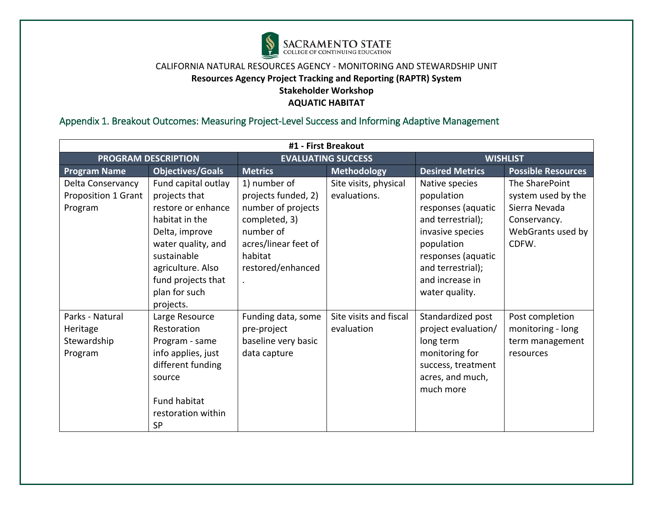

# Appendix 1. Breakout Outcomes: Measuring Project-Level Success and Informing Adaptive Management

|                     | #1 - First Breakout        |                           |                        |                        |                           |  |  |  |  |
|---------------------|----------------------------|---------------------------|------------------------|------------------------|---------------------------|--|--|--|--|
|                     | <b>PROGRAM DESCRIPTION</b> | <b>EVALUATING SUCCESS</b> |                        | <b>WISHLIST</b>        |                           |  |  |  |  |
| <b>Program Name</b> | <b>Objectives/Goals</b>    | <b>Metrics</b>            | <b>Methodology</b>     | <b>Desired Metrics</b> | <b>Possible Resources</b> |  |  |  |  |
| Delta Conservancy   | Fund capital outlay        | 1) number of              | Site visits, physical  | Native species         | The SharePoint            |  |  |  |  |
| Proposition 1 Grant | projects that              | projects funded, 2)       | evaluations.           | population             | system used by the        |  |  |  |  |
| Program             | restore or enhance         | number of projects        |                        | responses (aquatic     | Sierra Nevada             |  |  |  |  |
|                     | habitat in the             | completed, 3)             |                        | and terrestrial);      | Conservancy.              |  |  |  |  |
|                     | Delta, improve             | number of                 |                        | invasive species       | WebGrants used by         |  |  |  |  |
|                     | water quality, and         | acres/linear feet of      |                        | population             | CDFW.                     |  |  |  |  |
|                     | sustainable                | habitat                   |                        | responses (aquatic     |                           |  |  |  |  |
|                     | agriculture. Also          |                           |                        | and terrestrial);      |                           |  |  |  |  |
|                     | fund projects that         |                           |                        | and increase in        |                           |  |  |  |  |
|                     | plan for such              |                           |                        | water quality.         |                           |  |  |  |  |
|                     | projects.                  |                           |                        |                        |                           |  |  |  |  |
| Parks - Natural     | Large Resource             | Funding data, some        | Site visits and fiscal | Standardized post      | Post completion           |  |  |  |  |
| Heritage            | Restoration                | pre-project               | evaluation             | project evaluation/    | monitoring - long         |  |  |  |  |
| Stewardship         | Program - same             | baseline very basic       |                        | long term              | term management           |  |  |  |  |
| Program             | info applies, just         | data capture              |                        | monitoring for         | resources                 |  |  |  |  |
|                     | different funding          |                           |                        | success, treatment     |                           |  |  |  |  |
|                     | source                     |                           |                        | acres, and much,       |                           |  |  |  |  |
|                     |                            |                           |                        | much more              |                           |  |  |  |  |
|                     | Fund habitat               |                           |                        |                        |                           |  |  |  |  |
|                     | restoration within         |                           |                        |                        |                           |  |  |  |  |
|                     | <b>SP</b>                  |                           |                        |                        |                           |  |  |  |  |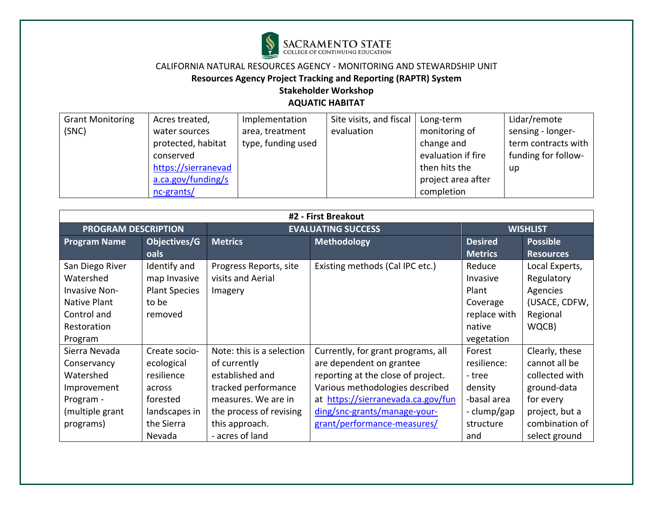

**Resources Agency Project Tracking and Reporting (RAPTR) System** 

# **Stakeholder Workshop**

| <b>Grant Monitoring</b> | Acres treated,      | Implementation     | Site visits, and fiscal | Long-term          | Lidar/remote        |
|-------------------------|---------------------|--------------------|-------------------------|--------------------|---------------------|
| (SNC)                   | water sources       | area, treatment    | evaluation              | monitoring of      | sensing - longer-   |
|                         | protected, habitat  | type, funding used |                         | change and         | term contracts with |
|                         | conserved           |                    |                         | evaluation if fire | funding for follow- |
|                         | https://sierranevad |                    |                         | then hits the      | up                  |
|                         | a.ca.gov/funding/s  |                    |                         | project area after |                     |
|                         | $nc$ -grants/       |                    |                         | completion         |                     |

| #2 - First Breakout        |                      |                           |                                    |                 |                  |  |  |  |
|----------------------------|----------------------|---------------------------|------------------------------------|-----------------|------------------|--|--|--|
| <b>PROGRAM DESCRIPTION</b> |                      |                           | <b>EVALUATING SUCCESS</b>          | <b>WISHLIST</b> |                  |  |  |  |
| <b>Program Name</b>        | Objectives/G         | <b>Metrics</b>            | <b>Methodology</b>                 | <b>Desired</b>  | <b>Possible</b>  |  |  |  |
|                            | oals                 |                           |                                    | <b>Metrics</b>  | <b>Resources</b> |  |  |  |
| San Diego River            | Identify and         | Progress Reports, site    | Existing methods (Cal IPC etc.)    | Reduce          | Local Experts,   |  |  |  |
| Watershed                  | map Invasive         | visits and Aerial         |                                    | Invasive        | Regulatory       |  |  |  |
| <b>Invasive Non-</b>       | <b>Plant Species</b> | Imagery                   |                                    | Plant           | Agencies         |  |  |  |
| Native Plant               | to be                |                           |                                    | Coverage        | (USACE, CDFW,    |  |  |  |
| Control and                | removed              |                           |                                    | replace with    | Regional         |  |  |  |
| Restoration                |                      |                           |                                    | native          | WQCB)            |  |  |  |
| Program                    |                      |                           |                                    | vegetation      |                  |  |  |  |
| Sierra Nevada              | Create socio-        | Note: this is a selection | Currently, for grant programs, all | Forest          | Clearly, these   |  |  |  |
| Conservancy                | ecological           | of currently              | are dependent on grantee           | resilience:     | cannot all be    |  |  |  |
| Watershed                  | resilience           | established and           | reporting at the close of project. | - tree          | collected with   |  |  |  |
| Improvement                | across               | tracked performance       | Various methodologies described    | density         | ground-data      |  |  |  |
| Program -                  | forested             | measures. We are in       | at https://sierranevada.ca.gov/fun | -basal area     | for every        |  |  |  |
| (multiple grant            | landscapes in        | the process of revising   | ding/snc-grants/manage-your-       | - clump/gap     | project, but a   |  |  |  |
| programs)                  | the Sierra           | this approach.            | grant/performance-measures/        | structure       | combination of   |  |  |  |
|                            | Nevada               | - acres of land           |                                    | and             | select ground    |  |  |  |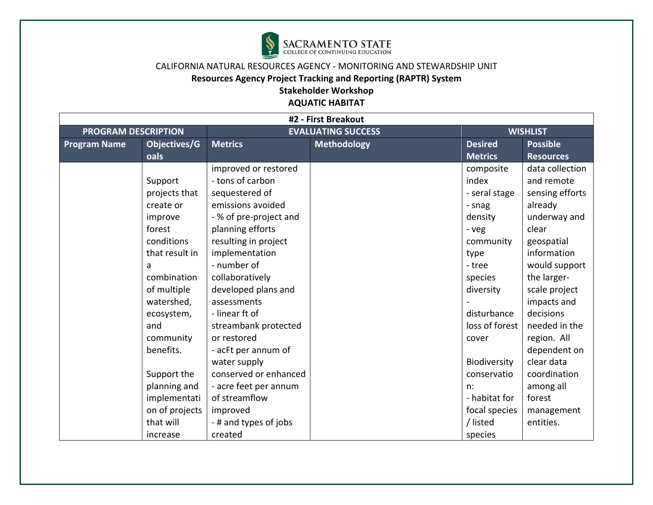

| #2 - First Breakout        |                |                        |                           |                |                  |  |  |
|----------------------------|----------------|------------------------|---------------------------|----------------|------------------|--|--|
| <b>PROGRAM DESCRIPTION</b> |                |                        | <b>EVALUATING SUCCESS</b> |                | <b>WISHLIST</b>  |  |  |
| <b>Program Name</b>        | Objectives/G   | <b>Metrics</b>         | <b>Methodology</b>        | <b>Desired</b> | <b>Possible</b>  |  |  |
|                            | oals           |                        |                           | <b>Metrics</b> | <b>Resources</b> |  |  |
|                            |                | improved or restored   |                           | composite      | data collection  |  |  |
|                            | Support        | - tons of carbon       |                           | index          | and remote       |  |  |
|                            | projects that  | sequestered of         |                           | - seral stage  | sensing efforts  |  |  |
|                            | create or      | emissions avoided      |                           | - snag         | already          |  |  |
|                            | improve        | - % of pre-project and |                           | density        | underway and     |  |  |
|                            | forest         | planning efforts       |                           | - veg          | clear            |  |  |
|                            | conditions     | resulting in project   |                           | community      | geospatial       |  |  |
|                            | that result in | implementation         |                           | type           | information      |  |  |
|                            | a              | - number of            |                           | - tree         | would support    |  |  |
|                            | combination    | collaboratively        |                           | species        | the larger-      |  |  |
|                            | of multiple    | developed plans and    |                           | diversity      | scale project    |  |  |
|                            | watershed,     | assessments            |                           |                | impacts and      |  |  |
|                            | ecosystem,     | - linear ft of         |                           | disturbance    | decisions        |  |  |
|                            | and            | streambank protected   |                           | loss of forest | needed in the    |  |  |
|                            | community      | or restored            |                           | cover          | region. All      |  |  |
|                            | benefits.      | - acFt per annum of    |                           |                | dependent on     |  |  |
|                            |                | water supply           |                           | Biodiversity   | clear data       |  |  |
|                            | Support the    | conserved or enhanced  |                           | conservatio    | coordination     |  |  |
|                            | planning and   | - acre feet per annum  |                           | n:             | among all        |  |  |
|                            | implementati   | of streamflow          |                           | - habitat for  | forest           |  |  |
|                            | on of projects | improved               |                           | focal species  | management       |  |  |
|                            | that will      | - # and types of jobs  |                           | / listed       | entities.        |  |  |
|                            | increase       | created                |                           | species        |                  |  |  |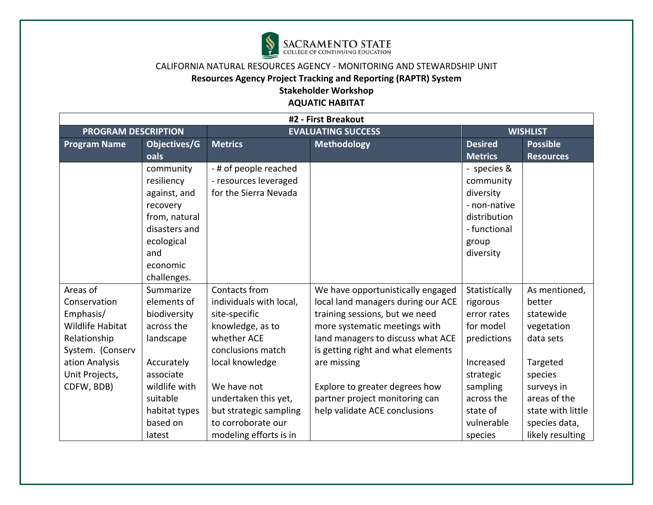

## **Resources Agency Project Tracking and Reporting (RAPTR) System**

**Stakeholder Workshop** 

| #2 - First Breakout        |               |                         |                                    |                |                   |  |  |  |
|----------------------------|---------------|-------------------------|------------------------------------|----------------|-------------------|--|--|--|
| <b>PROGRAM DESCRIPTION</b> |               |                         | <b>EVALUATING SUCCESS</b>          |                | <b>WISHLIST</b>   |  |  |  |
| <b>Program Name</b>        | Objectives/G  | <b>Metrics</b>          | <b>Methodology</b>                 | <b>Desired</b> | <b>Possible</b>   |  |  |  |
|                            | oals          |                         |                                    | <b>Metrics</b> | <b>Resources</b>  |  |  |  |
|                            | community     | - # of people reached   |                                    | - species &    |                   |  |  |  |
|                            | resiliency    | - resources leveraged   |                                    | community      |                   |  |  |  |
|                            | against, and  | for the Sierra Nevada   |                                    | diversity      |                   |  |  |  |
|                            | recovery      |                         |                                    | - non-native   |                   |  |  |  |
|                            | from, natural |                         |                                    | distribution   |                   |  |  |  |
|                            | disasters and |                         |                                    | - functional   |                   |  |  |  |
|                            | ecological    |                         |                                    | group          |                   |  |  |  |
|                            | and           |                         |                                    | diversity      |                   |  |  |  |
|                            | economic      |                         |                                    |                |                   |  |  |  |
|                            | challenges.   |                         |                                    |                |                   |  |  |  |
| Areas of                   | Summarize     | Contacts from           | We have opportunistically engaged  | Statistically  | As mentioned,     |  |  |  |
| Conservation               | elements of   | individuals with local, | local land managers during our ACE | rigorous       | better            |  |  |  |
| Emphasis/                  | biodiversity  | site-specific           | training sessions, but we need     | error rates    | statewide         |  |  |  |
| <b>Wildlife Habitat</b>    | across the    | knowledge, as to        | more systematic meetings with      | for model      | vegetation        |  |  |  |
| Relationship               | landscape     | whether ACE             | land managers to discuss what ACE  | predictions    | data sets         |  |  |  |
| System. (Conserv           |               | conclusions match       | is getting right and what elements |                |                   |  |  |  |
| ation Analysis             | Accurately    | local knowledge         | are missing                        | Increased      | Targeted          |  |  |  |
| Unit Projects,             | associate     |                         |                                    | strategic      | species           |  |  |  |
| CDFW, BDB)                 | wildlife with | We have not             | Explore to greater degrees how     | sampling       | surveys in        |  |  |  |
|                            | suitable      | undertaken this yet,    | partner project monitoring can     | across the     | areas of the      |  |  |  |
|                            | habitat types | but strategic sampling  | help validate ACE conclusions      | state of       | state with little |  |  |  |
|                            | based on      | to corroborate our      |                                    | vulnerable     | species data,     |  |  |  |
|                            | latest        | modeling efforts is in  |                                    | species        | likely resulting  |  |  |  |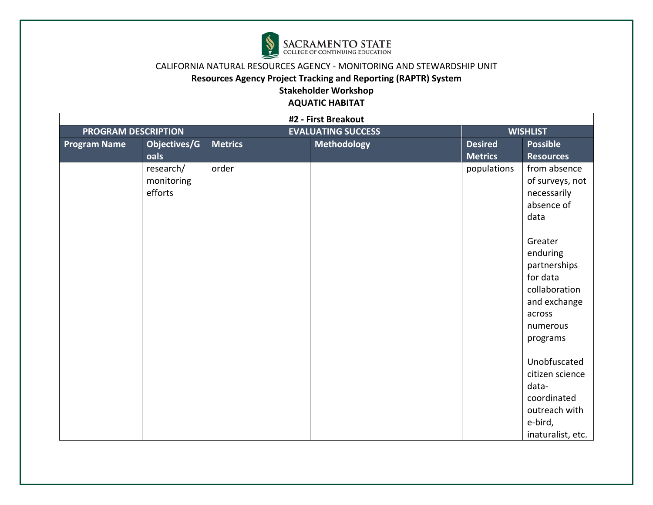

## **Resources Agency Project Tracking and Reporting (RAPTR) System**

**Stakeholder Workshop** 

| #2 - First Breakout        |                                    |                |                           |                                  |                                                                                                                                                                                            |  |  |
|----------------------------|------------------------------------|----------------|---------------------------|----------------------------------|--------------------------------------------------------------------------------------------------------------------------------------------------------------------------------------------|--|--|
| <b>PROGRAM DESCRIPTION</b> |                                    |                | <b>EVALUATING SUCCESS</b> |                                  | <b>WISHLIST</b>                                                                                                                                                                            |  |  |
| <b>Program Name</b>        | Objectives/G<br>oals               | <b>Metrics</b> | <b>Methodology</b>        | <b>Desired</b><br><b>Metrics</b> | <b>Possible</b><br><b>Resources</b>                                                                                                                                                        |  |  |
|                            | research/<br>monitoring<br>efforts | order          |                           | populations                      | from absence<br>of surveys, not<br>necessarily<br>absence of<br>data<br>Greater<br>enduring<br>partnerships<br>for data<br>collaboration<br>and exchange<br>across<br>numerous<br>programs |  |  |
|                            |                                    |                |                           |                                  | Unobfuscated<br>citizen science<br>data-<br>coordinated<br>outreach with<br>e-bird,<br>inaturalist, etc.                                                                                   |  |  |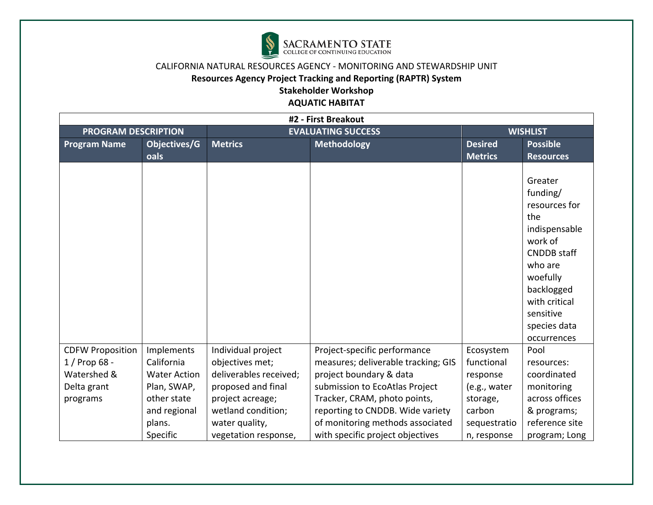

## **Resources Agency Project Tracking and Reporting (RAPTR) System**

**Stakeholder Workshop** 

| #2 - First Breakout                       |                          |                                       |                                                                     |                         |                                                                                                                                                                                                 |  |  |  |
|-------------------------------------------|--------------------------|---------------------------------------|---------------------------------------------------------------------|-------------------------|-------------------------------------------------------------------------------------------------------------------------------------------------------------------------------------------------|--|--|--|
| <b>PROGRAM DESCRIPTION</b>                |                          |                                       | <b>EVALUATING SUCCESS</b>                                           |                         | <b>WISHLIST</b>                                                                                                                                                                                 |  |  |  |
| <b>Program Name</b>                       | Objectives/G             | <b>Metrics</b>                        | <b>Methodology</b>                                                  | <b>Desired</b>          | <b>Possible</b>                                                                                                                                                                                 |  |  |  |
|                                           | oals                     |                                       |                                                                     | <b>Metrics</b>          | <b>Resources</b>                                                                                                                                                                                |  |  |  |
|                                           |                          |                                       |                                                                     |                         | Greater<br>funding/<br>resources for<br>the<br>indispensable<br>work of<br><b>CNDDB</b> staff<br>who are<br>woefully<br>backlogged<br>with critical<br>sensitive<br>species data<br>occurrences |  |  |  |
| <b>CDFW Proposition</b><br>$1/$ Prop 68 - | Implements<br>California | Individual project<br>objectives met; | Project-specific performance<br>measures; deliverable tracking; GIS | Ecosystem<br>functional | Pool<br>resources:                                                                                                                                                                              |  |  |  |
| Watershed &                               | <b>Water Action</b>      | deliverables received;                | project boundary & data                                             | response                | coordinated                                                                                                                                                                                     |  |  |  |
| Delta grant                               | Plan, SWAP,              | proposed and final                    | submission to EcoAtlas Project                                      | (e.g., water            | monitoring                                                                                                                                                                                      |  |  |  |
| programs                                  | other state              | project acreage;                      | Tracker, CRAM, photo points,                                        | storage,                | across offices                                                                                                                                                                                  |  |  |  |
|                                           | and regional             | wetland condition;                    | reporting to CNDDB. Wide variety                                    | carbon                  | & programs;                                                                                                                                                                                     |  |  |  |
|                                           | plans.                   | water quality,                        | of monitoring methods associated                                    | sequestratio            | reference site                                                                                                                                                                                  |  |  |  |
|                                           | Specific                 | vegetation response,                  | with specific project objectives                                    | n, response             | program; Long                                                                                                                                                                                   |  |  |  |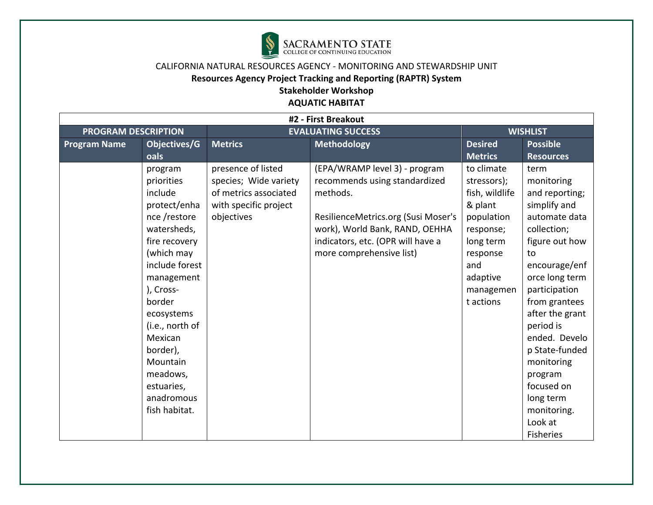

## CALIFORNIA NATURAL RESOURCES AGENCY - MONITORING AND STEWARDSHIP UNIT **Resources Agency Project Tracking and Reporting (RAPTR) System**

**Stakeholder Workshop** 

| #2 - First Breakout        |                                                                                                                                                                                                                                                                                                    |                                                                                                             |                                                                                                                                                                                                                      |                                                                                                                                                         |                                                                                                                                                                                                                                                                                                                                                        |  |  |  |
|----------------------------|----------------------------------------------------------------------------------------------------------------------------------------------------------------------------------------------------------------------------------------------------------------------------------------------------|-------------------------------------------------------------------------------------------------------------|----------------------------------------------------------------------------------------------------------------------------------------------------------------------------------------------------------------------|---------------------------------------------------------------------------------------------------------------------------------------------------------|--------------------------------------------------------------------------------------------------------------------------------------------------------------------------------------------------------------------------------------------------------------------------------------------------------------------------------------------------------|--|--|--|
| <b>PROGRAM DESCRIPTION</b> |                                                                                                                                                                                                                                                                                                    | <b>EVALUATING SUCCESS</b>                                                                                   |                                                                                                                                                                                                                      | <b>WISHLIST</b>                                                                                                                                         |                                                                                                                                                                                                                                                                                                                                                        |  |  |  |
| <b>Program Name</b>        | Objectives/G                                                                                                                                                                                                                                                                                       | <b>Methodology</b><br><b>Metrics</b>                                                                        |                                                                                                                                                                                                                      | <b>Desired</b>                                                                                                                                          | <b>Possible</b>                                                                                                                                                                                                                                                                                                                                        |  |  |  |
|                            | oals                                                                                                                                                                                                                                                                                               |                                                                                                             |                                                                                                                                                                                                                      | <b>Metrics</b>                                                                                                                                          | <b>Resources</b>                                                                                                                                                                                                                                                                                                                                       |  |  |  |
|                            | program<br>priorities<br>include<br>protect/enha<br>nce /restore<br>watersheds,<br>fire recovery<br>(which may<br>include forest<br>management<br>), Cross-<br>border<br>ecosystems<br>(i.e., north of<br>Mexican<br>border),<br>Mountain<br>meadows,<br>estuaries,<br>anadromous<br>fish habitat. | presence of listed<br>species; Wide variety<br>of metrics associated<br>with specific project<br>objectives | (EPA/WRAMP level 3) - program<br>recommends using standardized<br>methods.<br>ResilienceMetrics.org (Susi Moser's<br>work), World Bank, RAND, OEHHA<br>indicators, etc. (OPR will have a<br>more comprehensive list) | to climate<br>stressors);<br>fish, wildlife<br>& plant<br>population<br>response;<br>long term<br>response<br>and<br>adaptive<br>managemen<br>t actions | term<br>monitoring<br>and reporting;<br>simplify and<br>automate data<br>collection;<br>figure out how<br>to<br>encourage/enf<br>orce long term<br>participation<br>from grantees<br>after the grant<br>period is<br>ended. Develo<br>p State-funded<br>monitoring<br>program<br>focused on<br>long term<br>monitoring.<br>Look at<br><b>Fisheries</b> |  |  |  |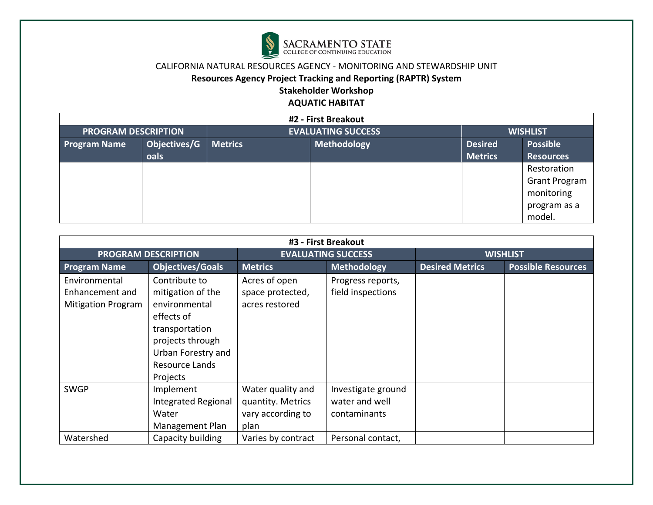

## **Resources Agency Project Tracking and Reporting (RAPTR) System**

**Stakeholder Workshop** 

| #2 - First Breakout        |              |                |                               |                |                      |  |  |  |
|----------------------------|--------------|----------------|-------------------------------|----------------|----------------------|--|--|--|
| <b>PROGRAM DESCRIPTION</b> |              |                | <b>EVALUATING SUCCESS</b>     |                | <b>WISHLIST</b>      |  |  |  |
| <b>Program Name</b>        | Objectives/G | <b>Metrics</b> | Methodology<br><b>Desired</b> |                | <b>Possible</b>      |  |  |  |
|                            | oals         |                |                               | <b>Metrics</b> | <b>Resources</b>     |  |  |  |
|                            |              |                |                               |                | Restoration          |  |  |  |
|                            |              |                |                               |                | <b>Grant Program</b> |  |  |  |
|                            |              |                |                               |                | monitoring           |  |  |  |
|                            |              |                |                               |                | program as a         |  |  |  |
|                            |              |                |                               |                | model.               |  |  |  |

| #3 - First Breakout                                           |                                                                                                                                                             |                                                                     |                                                      |                        |                           |  |  |  |
|---------------------------------------------------------------|-------------------------------------------------------------------------------------------------------------------------------------------------------------|---------------------------------------------------------------------|------------------------------------------------------|------------------------|---------------------------|--|--|--|
|                                                               | <b>PROGRAM DESCRIPTION</b>                                                                                                                                  |                                                                     | <b>EVALUATING SUCCESS</b>                            | <b>WISHLIST</b>        |                           |  |  |  |
| <b>Program Name</b>                                           | <b>Objectives/Goals</b>                                                                                                                                     | <b>Metrics</b>                                                      | <b>Methodology</b>                                   | <b>Desired Metrics</b> | <b>Possible Resources</b> |  |  |  |
| Environmental<br>Enhancement and<br><b>Mitigation Program</b> | Contribute to<br>mitigation of the<br>environmental<br>effects of<br>transportation<br>projects through<br>Urban Forestry and<br>Resource Lands<br>Projects | Acres of open<br>space protected,<br>acres restored                 | Progress reports,<br>field inspections               |                        |                           |  |  |  |
| <b>SWGP</b>                                                   | Implement<br><b>Integrated Regional</b><br>Water<br>Management Plan                                                                                         | Water quality and<br>quantity. Metrics<br>vary according to<br>plan | Investigate ground<br>water and well<br>contaminants |                        |                           |  |  |  |
| Watershed                                                     | Capacity building                                                                                                                                           | Varies by contract                                                  | Personal contact,                                    |                        |                           |  |  |  |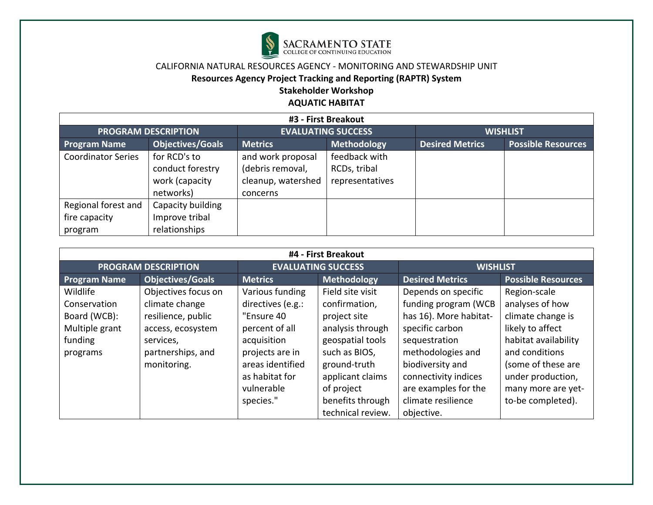

## **Resources Agency Project Tracking and Reporting (RAPTR) System**

# **Stakeholder Workshop**

| #3 - First Breakout        |                         |                           |                 |                        |                           |  |  |  |
|----------------------------|-------------------------|---------------------------|-----------------|------------------------|---------------------------|--|--|--|
| <b>PROGRAM DESCRIPTION</b> |                         | <b>EVALUATING SUCCESS</b> |                 | <b>WISHLIST</b>        |                           |  |  |  |
| <b>Program Name</b>        | <b>Objectives/Goals</b> | <b>Metrics</b>            | Methodology     | <b>Desired Metrics</b> | <b>Possible Resources</b> |  |  |  |
| <b>Coordinator Series</b>  | for RCD's to            | and work proposal         | feedback with   |                        |                           |  |  |  |
|                            | conduct forestry        | (debris removal,          | RCDs, tribal    |                        |                           |  |  |  |
|                            | work (capacity          | cleanup, watershed        | representatives |                        |                           |  |  |  |
|                            | networks)               | concerns                  |                 |                        |                           |  |  |  |
| Regional forest and        | Capacity building       |                           |                 |                        |                           |  |  |  |
| fire capacity              | Improve tribal          |                           |                 |                        |                           |  |  |  |
| program                    | relationships           |                           |                 |                        |                           |  |  |  |

| #4 - First Breakout |                            |                   |                           |                        |                           |  |  |  |
|---------------------|----------------------------|-------------------|---------------------------|------------------------|---------------------------|--|--|--|
|                     | <b>PROGRAM DESCRIPTION</b> |                   | <b>EVALUATING SUCCESS</b> | <b>WISHLIST</b>        |                           |  |  |  |
| <b>Program Name</b> | <b>Objectives/Goals</b>    | <b>Metrics</b>    | <b>Methodology</b>        | <b>Desired Metrics</b> | <b>Possible Resources</b> |  |  |  |
| Wildlife            | Objectives focus on        | Various funding   | Field site visit          | Depends on specific    | Region-scale              |  |  |  |
| Conservation        | climate change             | directives (e.g.: | confirmation,             | funding program (WCB   | analyses of how           |  |  |  |
| Board (WCB):        | resilience, public         | "Ensure 40        | project site              | has 16). More habitat- | climate change is         |  |  |  |
| Multiple grant      | access, ecosystem          | percent of all    | analysis through          | specific carbon        | likely to affect          |  |  |  |
| funding             | services,                  | acquisition       | geospatial tools          | sequestration          | habitat availability      |  |  |  |
| programs            | partnerships, and          | projects are in   | such as BIOS,             | methodologies and      | and conditions            |  |  |  |
|                     | monitoring.                | areas identified  | ground-truth              | biodiversity and       | (some of these are        |  |  |  |
|                     |                            | as habitat for    | applicant claims          | connectivity indices   | under production,         |  |  |  |
|                     |                            | vulnerable        | of project                | are examples for the   | many more are yet-        |  |  |  |
|                     |                            | species."         | benefits through          | climate resilience     | to-be completed).         |  |  |  |
|                     |                            |                   | technical review.         | objective.             |                           |  |  |  |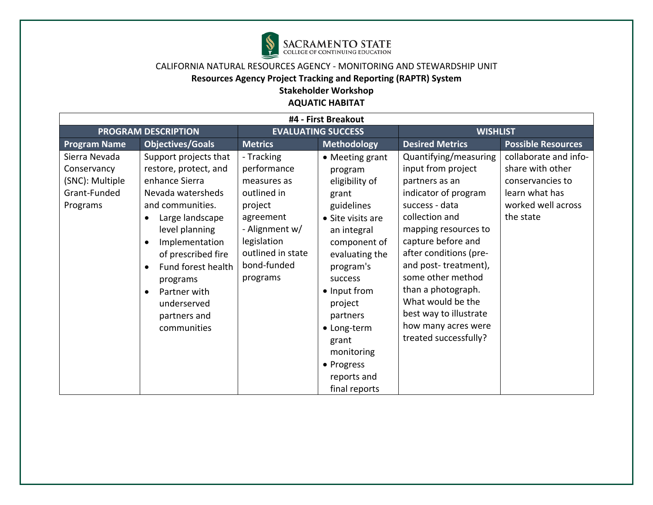

**Resources Agency Project Tracking and Reporting (RAPTR) System** 

**Stakeholder Workshop** 

| #4 - First Breakout                                                         |                                                                                                                                                                                                                                                                                                                  |                                                                                                                                                                  |                                                                                                                                                                                                                                                                                              |                                                                                                                                                                                                                                                                                                                                                                     |                                                                                                                    |  |
|-----------------------------------------------------------------------------|------------------------------------------------------------------------------------------------------------------------------------------------------------------------------------------------------------------------------------------------------------------------------------------------------------------|------------------------------------------------------------------------------------------------------------------------------------------------------------------|----------------------------------------------------------------------------------------------------------------------------------------------------------------------------------------------------------------------------------------------------------------------------------------------|---------------------------------------------------------------------------------------------------------------------------------------------------------------------------------------------------------------------------------------------------------------------------------------------------------------------------------------------------------------------|--------------------------------------------------------------------------------------------------------------------|--|
| <b>PROGRAM DESCRIPTION</b>                                                  |                                                                                                                                                                                                                                                                                                                  | <b>EVALUATING SUCCESS</b>                                                                                                                                        |                                                                                                                                                                                                                                                                                              | <b>WISHLIST</b>                                                                                                                                                                                                                                                                                                                                                     |                                                                                                                    |  |
| <b>Program Name</b>                                                         | <b>Objectives/Goals</b>                                                                                                                                                                                                                                                                                          | <b>Metrics</b>                                                                                                                                                   | <b>Methodology</b>                                                                                                                                                                                                                                                                           | <b>Desired Metrics</b>                                                                                                                                                                                                                                                                                                                                              | <b>Possible Resources</b>                                                                                          |  |
| Sierra Nevada<br>Conservancy<br>(SNC): Multiple<br>Grant-Funded<br>Programs | Support projects that<br>restore, protect, and<br>enhance Sierra<br>Nevada watersheds<br>and communities.<br>Large landscape<br>$\bullet$<br>level planning<br>Implementation<br>$\bullet$<br>of prescribed fire<br>Fund forest health<br>programs<br>Partner with<br>underserved<br>partners and<br>communities | - Tracking<br>performance<br>measures as<br>outlined in<br>project<br>agreement<br>- Alignment w/<br>legislation<br>outlined in state<br>bond-funded<br>programs | • Meeting grant<br>program<br>eligibility of<br>grant<br>guidelines<br>• Site visits are<br>an integral<br>component of<br>evaluating the<br>program's<br>success<br>• Input from<br>project<br>partners<br>• Long-term<br>grant<br>monitoring<br>• Progress<br>reports and<br>final reports | Quantifying/measuring<br>input from project<br>partners as an<br>indicator of program<br>success - data<br>collection and<br>mapping resources to<br>capture before and<br>after conditions (pre-<br>and post-treatment),<br>some other method<br>than a photograph.<br>What would be the<br>best way to illustrate<br>how many acres were<br>treated successfully? | collaborate and info-<br>share with other<br>conservancies to<br>learn what has<br>worked well across<br>the state |  |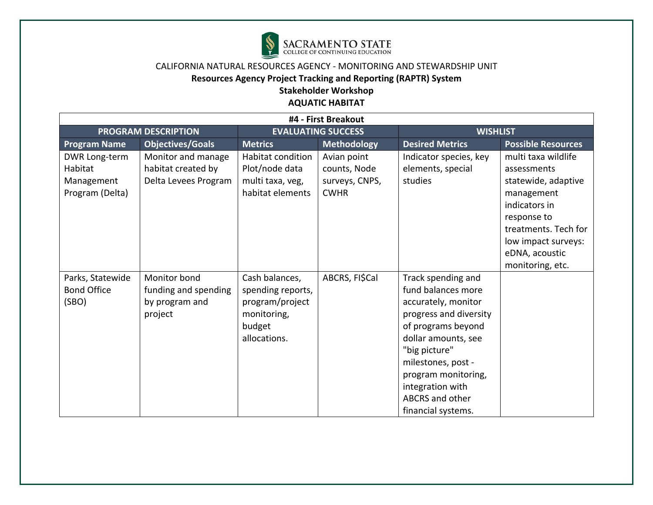

## **Resources Agency Project Tracking and Reporting (RAPTR) System**

**Stakeholder Workshop** 

| #4 - First Breakout        |                         |                           |                    |                        |                           |  |
|----------------------------|-------------------------|---------------------------|--------------------|------------------------|---------------------------|--|
| <b>PROGRAM DESCRIPTION</b> |                         | <b>EVALUATING SUCCESS</b> |                    | <b>WISHLIST</b>        |                           |  |
| <b>Program Name</b>        | <b>Objectives/Goals</b> | <b>Metrics</b>            | <b>Methodology</b> | <b>Desired Metrics</b> | <b>Possible Resources</b> |  |
| DWR Long-term              | Monitor and manage      | Habitat condition         | Avian point        | Indicator species, key | multi taxa wildlife       |  |
| Habitat                    | habitat created by      | Plot/node data            | counts, Node       | elements, special      | assessments               |  |
| Management                 | Delta Levees Program    | multi taxa, veg,          | surveys, CNPS,     | studies                | statewide, adaptive       |  |
| Program (Delta)            |                         | habitat elements          | <b>CWHR</b>        |                        | management                |  |
|                            |                         |                           |                    |                        | indicators in             |  |
|                            |                         |                           |                    |                        | response to               |  |
|                            |                         |                           |                    |                        | treatments. Tech for      |  |
|                            |                         |                           |                    |                        | low impact surveys:       |  |
|                            |                         |                           |                    |                        | eDNA, acoustic            |  |
|                            |                         |                           |                    |                        | monitoring, etc.          |  |
| Parks, Statewide           | Monitor bond            | Cash balances,            | ABCRS, FI\$Cal     | Track spending and     |                           |  |
| <b>Bond Office</b>         | funding and spending    | spending reports,         |                    | fund balances more     |                           |  |
| (SBO)                      | by program and          | program/project           |                    | accurately, monitor    |                           |  |
|                            | project                 | monitoring,               |                    | progress and diversity |                           |  |
|                            |                         | budget                    |                    | of programs beyond     |                           |  |
|                            |                         | allocations.              |                    | dollar amounts, see    |                           |  |
|                            |                         |                           |                    | "big picture"          |                           |  |
|                            |                         |                           |                    | milestones, post -     |                           |  |
|                            |                         |                           |                    | program monitoring,    |                           |  |
|                            |                         |                           |                    | integration with       |                           |  |
|                            |                         |                           |                    | ABCRS and other        |                           |  |
|                            |                         |                           |                    | financial systems.     |                           |  |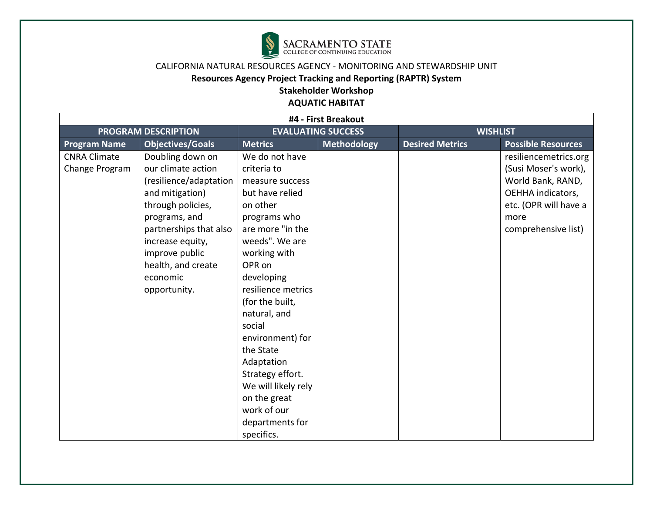

## **Resources Agency Project Tracking and Reporting (RAPTR) System**

**Stakeholder Workshop** 

| #4 - First Breakout                   |                                                                                                                                                                                                                                             |                                                                                                                                                                                                                                                                                                                                                                                                            |                    |                        |                                                                                                                                                 |  |
|---------------------------------------|---------------------------------------------------------------------------------------------------------------------------------------------------------------------------------------------------------------------------------------------|------------------------------------------------------------------------------------------------------------------------------------------------------------------------------------------------------------------------------------------------------------------------------------------------------------------------------------------------------------------------------------------------------------|--------------------|------------------------|-------------------------------------------------------------------------------------------------------------------------------------------------|--|
| <b>PROGRAM DESCRIPTION</b>            |                                                                                                                                                                                                                                             | <b>EVALUATING SUCCESS</b>                                                                                                                                                                                                                                                                                                                                                                                  |                    | <b>WISHLIST</b>        |                                                                                                                                                 |  |
| <b>Program Name</b>                   | <b>Objectives/Goals</b>                                                                                                                                                                                                                     | <b>Metrics</b>                                                                                                                                                                                                                                                                                                                                                                                             | <b>Methodology</b> | <b>Desired Metrics</b> | <b>Possible Resources</b>                                                                                                                       |  |
| <b>CNRA Climate</b><br>Change Program | Doubling down on<br>our climate action<br>(resilience/adaptation<br>and mitigation)<br>through policies,<br>programs, and<br>partnerships that also<br>increase equity,<br>improve public<br>health, and create<br>economic<br>opportunity. | We do not have<br>criteria to<br>measure success<br>but have relied<br>on other<br>programs who<br>are more "in the<br>weeds". We are<br>working with<br>OPR on<br>developing<br>resilience metrics<br>(for the built,<br>natural, and<br>social<br>environment) for<br>the State<br>Adaptation<br>Strategy effort.<br>We will likely rely<br>on the great<br>work of our<br>departments for<br>specifics. |                    |                        | resiliencemetrics.org<br>(Susi Moser's work),<br>World Bank, RAND,<br>OEHHA indicators,<br>etc. (OPR will have a<br>more<br>comprehensive list) |  |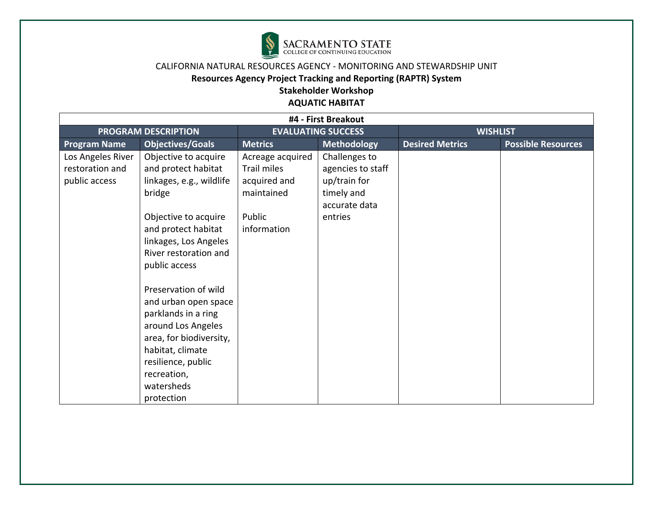

## **Resources Agency Project Tracking and Reporting (RAPTR) System**

# **Stakeholder Workshop**

| #4 - First Breakout                                   |                                                                                                                                                                                                           |                                                               |                                                                                   |                        |                           |  |
|-------------------------------------------------------|-----------------------------------------------------------------------------------------------------------------------------------------------------------------------------------------------------------|---------------------------------------------------------------|-----------------------------------------------------------------------------------|------------------------|---------------------------|--|
| <b>PROGRAM DESCRIPTION</b>                            |                                                                                                                                                                                                           | <b>EVALUATING SUCCESS</b>                                     |                                                                                   | <b>WISHLIST</b>        |                           |  |
| <b>Program Name</b>                                   | <b>Objectives/Goals</b>                                                                                                                                                                                   | <b>Metrics</b>                                                | Methodology                                                                       | <b>Desired Metrics</b> | <b>Possible Resources</b> |  |
| Los Angeles River<br>restoration and<br>public access | Objective to acquire<br>and protect habitat<br>linkages, e.g., wildlife<br>bridge                                                                                                                         | Acreage acquired<br>Trail miles<br>acquired and<br>maintained | Challenges to<br>agencies to staff<br>up/train for<br>timely and<br>accurate data |                        |                           |  |
|                                                       | Objective to acquire<br>and protect habitat<br>linkages, Los Angeles<br>River restoration and<br>public access                                                                                            | Public<br>information                                         | entries                                                                           |                        |                           |  |
|                                                       | Preservation of wild<br>and urban open space<br>parklands in a ring<br>around Los Angeles<br>area, for biodiversity,<br>habitat, climate<br>resilience, public<br>recreation,<br>watersheds<br>protection |                                                               |                                                                                   |                        |                           |  |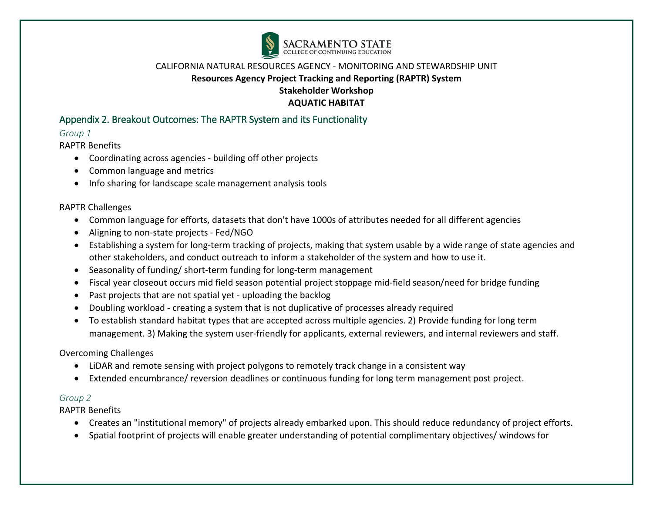

# Appendix 2. Breakout Outcomes: The RAPTR System and its Functionality

## *Group 1*

RAPTR Benefits

- Coordinating across agencies building off other projects
- Common language and metrics
- Info sharing for landscape scale management analysis tools

## RAPTR Challenges

- Common language for efforts, datasets that don't have 1000s of attributes needed for all different agencies
- Aligning to non-state projects Fed/NGO
- Establishing a system for long-term tracking of projects, making that system usable by a wide range of state agencies and other stakeholders, and conduct outreach to inform a stakeholder of the system and how to use it.
- Seasonality of funding/ short-term funding for long-term management
- Fiscal year closeout occurs mid field season potential project stoppage mid-field season/need for bridge funding
- Past projects that are not spatial yet uploading the backlog
- Doubling workload creating a system that is not duplicative of processes already required
- To establish standard habitat types that are accepted across multiple agencies. 2) Provide funding for long term management. 3) Making the system user-friendly for applicants, external reviewers, and internal reviewers and staff.

#### Overcoming Challenges

- LiDAR and remote sensing with project polygons to remotely track change in a consistent way
- Extended encumbrance/ reversion deadlines or continuous funding for long term management post project.

#### *Group 2*

RAPTR Benefits

- Creates an "institutional memory" of projects already embarked upon. This should reduce redundancy of project efforts.
- Spatial footprint of projects will enable greater understanding of potential complimentary objectives/ windows for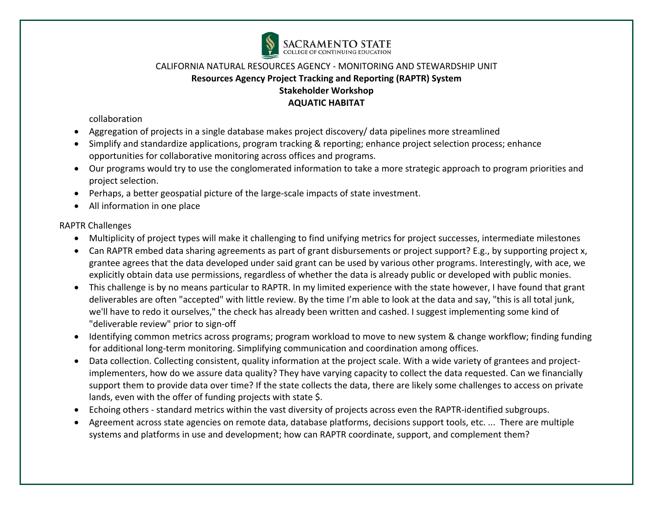

collaboration

- Aggregation of projects in a single database makes project discovery/ data pipelines more streamlined
- Simplify and standardize applications, program tracking & reporting; enhance project selection process; enhance opportunities for collaborative monitoring across offices and programs.
- Our programs would try to use the conglomerated information to take a more strategic approach to program priorities and project selection.
- Perhaps, a better geospatial picture of the large-scale impacts of state investment.
- All information in one place

## RAPTR Challenges

- Multiplicity of project types will make it challenging to find unifying metrics for project successes, intermediate milestones
- Can RAPTR embed data sharing agreements as part of grant disbursements or project support? E.g., by supporting project x, grantee agrees that the data developed under said grant can be used by various other programs. Interestingly, with ace, we explicitly obtain data use permissions, regardless of whether the data is already public or developed with public monies.
- This challenge is by no means particular to RAPTR. In my limited experience with the state however, I have found that grant deliverables are often "accepted" with little review. By the time I'm able to look at the data and say, "this is all total junk, we'll have to redo it ourselves," the check has already been written and cashed. I suggest implementing some kind of "deliverable review" prior to sign-off
- Identifying common metrics across programs; program workload to move to new system & change workflow; finding funding for additional long-term monitoring. Simplifying communication and coordination among offices.
- Data collection. Collecting consistent, quality information at the project scale. With a wide variety of grantees and projectimplementers, how do we assure data quality? They have varying capacity to collect the data requested. Can we financially support them to provide data over time? If the state collects the data, there are likely some challenges to access on private lands, even with the offer of funding projects with state \$.
- Echoing others standard metrics within the vast diversity of projects across even the RAPTR-identified subgroups.
- Agreement across state agencies on remote data, database platforms, decisions support tools, etc. ... There are multiple systems and platforms in use and development; how can RAPTR coordinate, support, and complement them?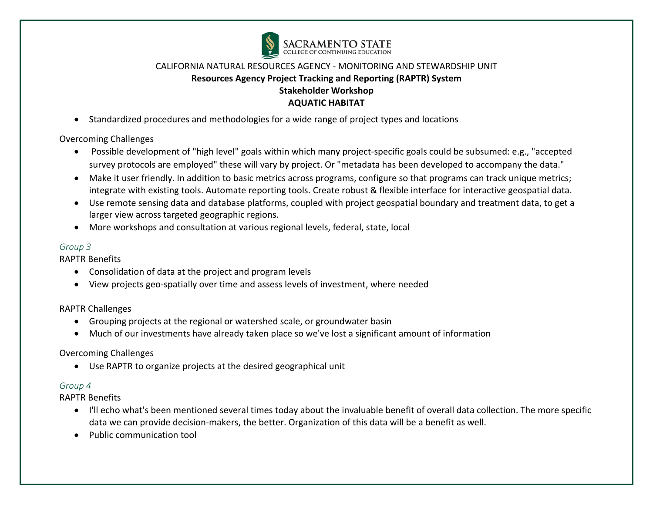

• Standardized procedures and methodologies for a wide range of project types and locations

Overcoming Challenges

- Possible development of "high level" goals within which many project-specific goals could be subsumed: e.g., "accepted survey protocols are employed" these will vary by project. Or "metadata has been developed to accompany the data."
- Make it user friendly. In addition to basic metrics across programs, configure so that programs can track unique metrics; integrate with existing tools. Automate reporting tools. Create robust & flexible interface for interactive geospatial data.
- Use remote sensing data and database platforms, coupled with project geospatial boundary and treatment data, to get a larger view across targeted geographic regions.
- More workshops and consultation at various regional levels, federal, state, local

#### *Group 3*

RAPTR Benefits

- Consolidation of data at the project and program levels
- View projects geo-spatially over time and assess levels of investment, where needed

RAPTR Challenges

- Grouping projects at the regional or watershed scale, or groundwater basin
- Much of our investments have already taken place so we've lost a significant amount of information

## Overcoming Challenges

• Use RAPTR to organize projects at the desired geographical unit

## *Group 4*

RAPTR Benefits

- I'll echo what's been mentioned several times today about the invaluable benefit of overall data collection. The more specific data we can provide decision-makers, the better. Organization of this data will be a benefit as well.
- Public communication tool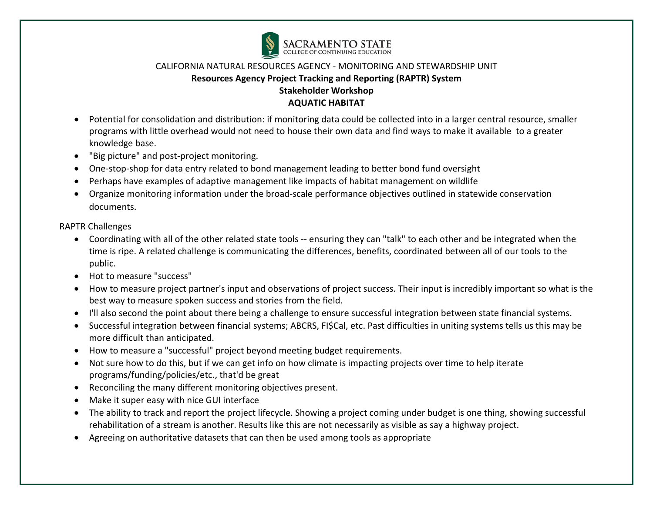

- Potential for consolidation and distribution: if monitoring data could be collected into in a larger central resource, smaller programs with little overhead would not need to house their own data and find ways to make it available to a greater knowledge base.
- "Big picture" and post-project monitoring.
- One-stop-shop for data entry related to bond management leading to better bond fund oversight
- Perhaps have examples of adaptive management like impacts of habitat management on wildlife
- Organize monitoring information under the broad-scale performance objectives outlined in statewide conservation documents.

RAPTR Challenges

- Coordinating with all of the other related state tools -- ensuring they can "talk" to each other and be integrated when the time is ripe. A related challenge is communicating the differences, benefits, coordinated between all of our tools to the public.
- Hot to measure "success"
- How to measure project partner's input and observations of project success. Their input is incredibly important so what is the best way to measure spoken success and stories from the field.
- I'll also second the point about there being a challenge to ensure successful integration between state financial systems.
- Successful integration between financial systems; ABCRS, FI\$Cal, etc. Past difficulties in uniting systems tells us this may be more difficult than anticipated.
- How to measure a "successful" project beyond meeting budget requirements.
- Not sure how to do this, but if we can get info on how climate is impacting projects over time to help iterate programs/funding/policies/etc., that'd be great
- Reconciling the many different monitoring objectives present.
- Make it super easy with nice GUI interface
- The ability to track and report the project lifecycle. Showing a project coming under budget is one thing, showing successful rehabilitation of a stream is another. Results like this are not necessarily as visible as say a highway project.
- Agreeing on authoritative datasets that can then be used among tools as appropriate